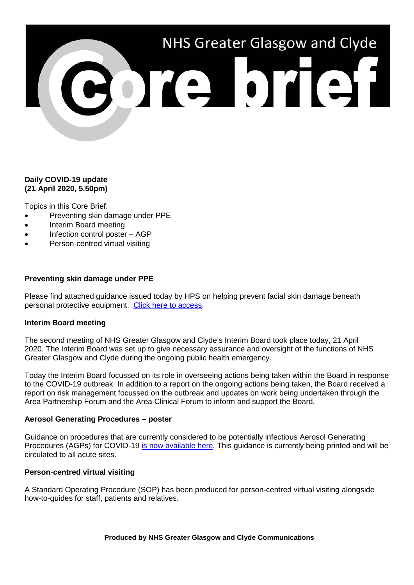

# **Daily COVID-19 update (21 April 2020, 5.50pm)**

Topics in this Core Brief:

- Preventing skin damage under PPE
- Interim Board meeting
- Infection control poster AGP
- Person-centred virtual visiting

### **Preventing skin damage under PPE**

Please find attached guidance issued today by HPS on helping prevent facial skin damage beneath personal protective equipment. Click [here to access.](https://www.nhsggc.org.uk/media/260056/preventing-skin-damage-under-ppe_4-april.pdf)

#### **Interim Board meeting**

The second meeting of NHS Greater Glasgow and Clyde's Interim Board took place today, 21 April 2020. The Interim Board was set up to give necessary assurance and oversight of the functions of NHS Greater Glasgow and Clyde during the ongoing public health emergency.

Today the Interim Board focussed on its role in overseeing actions being taken within the Board in response to the COVID-19 outbreak. In addition to a report on the ongoing actions being taken, the Board received a report on risk management focussed on the outbreak and updates on work being undertaken through the Area Partnership Forum and the Area Clinical Forum to inform and support the Board.

#### **Aerosol Generating Procedures – poster**

Guidance on procedures that are currently considered to be potentially infectious Aerosol Generating Procedures (AGPs) for COVID-19 [is now available here.](https://www.nhsggc.org.uk/media/260044/agp.pdf) This guidance is currently being printed and will be circulated to all acute sites.

#### **Person-centred virtual visiting**

A Standard Operating Procedure (SOP) has been produced for person-centred virtual visiting alongside how-to-guides for staff, patients and relatives.